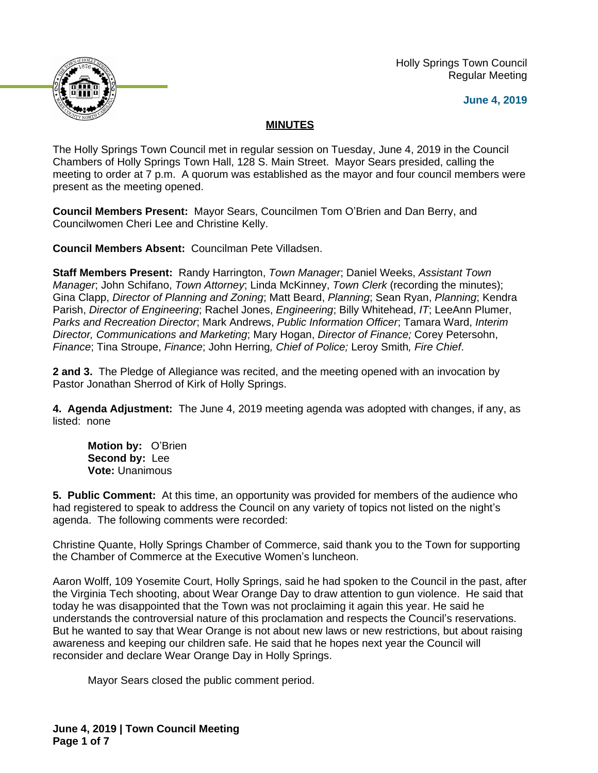

 Holly Springs Town Council Regular Meeting

**June 4, 2019**

# **MINUTES**

The Holly Springs Town Council met in regular session on Tuesday, June 4, 2019 in the Council Chambers of Holly Springs Town Hall, 128 S. Main Street. Mayor Sears presided, calling the meeting to order at 7 p.m. A quorum was established as the mayor and four council members were present as the meeting opened.

**Council Members Present:** Mayor Sears, Councilmen Tom O'Brien and Dan Berry, and Councilwomen Cheri Lee and Christine Kelly.

**Council Members Absent:** Councilman Pete Villadsen.

**Staff Members Present:** Randy Harrington, *Town Manager*; Daniel Weeks, *Assistant Town Manager*; John Schifano, *Town Attorney*; Linda McKinney, *Town Clerk* (recording the minutes); Gina Clapp, *Director of Planning and Zoning*; Matt Beard, *Planning*; Sean Ryan, *Planning*; Kendra Parish, *Director of Engineering*; Rachel Jones, *Engineering*; Billy Whitehead, *IT*; LeeAnn Plumer, *Parks and Recreation Director*; Mark Andrews, *Public Information Officer*; Tamara Ward, *Interim Director, Communications and Marketing*; Mary Hogan, *Director of Finance;* Corey Petersohn, *Finance*; Tina Stroupe, *Finance*; John Herring*, Chief of Police;* Leroy Smith*, Fire Chief*.

**2 and 3.** The Pledge of Allegiance was recited, and the meeting opened with an invocation by Pastor Jonathan Sherrod of Kirk of Holly Springs.

**4. Agenda Adjustment:** The June 4, 2019 meeting agenda was adopted with changes, if any, as listed: none

**Motion by:** O'Brien **Second by:** Lee **Vote:** Unanimous

**5. Public Comment:** At this time, an opportunity was provided for members of the audience who had registered to speak to address the Council on any variety of topics not listed on the night's agenda. The following comments were recorded:

Christine Quante, Holly Springs Chamber of Commerce, said thank you to the Town for supporting the Chamber of Commerce at the Executive Women's luncheon.

Aaron Wolff, 109 Yosemite Court, Holly Springs, said he had spoken to the Council in the past, after the Virginia Tech shooting, about Wear Orange Day to draw attention to gun violence. He said that today he was disappointed that the Town was not proclaiming it again this year. He said he understands the controversial nature of this proclamation and respects the Council's reservations. But he wanted to say that Wear Orange is not about new laws or new restrictions, but about raising awareness and keeping our children safe. He said that he hopes next year the Council will reconsider and declare Wear Orange Day in Holly Springs.

Mayor Sears closed the public comment period.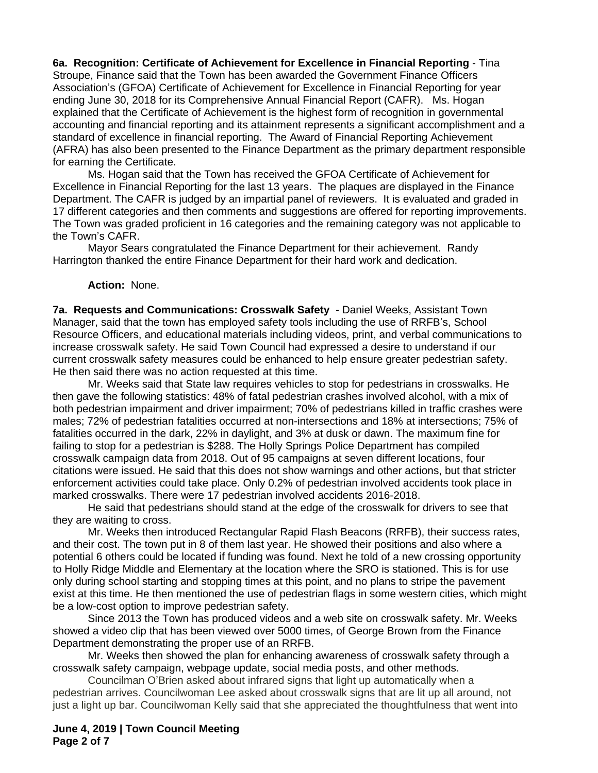**6a. Recognition: Certificate of Achievement for Excellence in Financial Reporting** - Tina Stroupe, Finance said that the Town has been awarded the Government Finance Officers Association's (GFOA) Certificate of Achievement for Excellence in Financial Reporting for year ending June 30, 2018 for its Comprehensive Annual Financial Report (CAFR). Ms. Hogan explained that the Certificate of Achievement is the highest form of recognition in governmental accounting and financial reporting and its attainment represents a significant accomplishment and a standard of excellence in financial reporting. The Award of Financial Reporting Achievement (AFRA) has also been presented to the Finance Department as the primary department responsible for earning the Certificate.

Ms. Hogan said that the Town has received the GFOA Certificate of Achievement for Excellence in Financial Reporting for the last 13 years. The plaques are displayed in the Finance Department. The CAFR is judged by an impartial panel of reviewers. It is evaluated and graded in 17 different categories and then comments and suggestions are offered for reporting improvements. The Town was graded proficient in 16 categories and the remaining category was not applicable to the Town's CAFR.

Mayor Sears congratulated the Finance Department for their achievement. Randy Harrington thanked the entire Finance Department for their hard work and dedication.

#### **Action:** None.

**7a. Requests and Communications: Crosswalk Safety** - Daniel Weeks, Assistant Town Manager, said that the town has employed safety tools including the use of RRFB's, School Resource Officers, and educational materials including videos, print, and verbal communications to increase crosswalk safety. He said Town Council had expressed a desire to understand if our current crosswalk safety measures could be enhanced to help ensure greater pedestrian safety. He then said there was no action requested at this time.

Mr. Weeks said that State law requires vehicles to stop for pedestrians in crosswalks. He then gave the following statistics: 48% of fatal pedestrian crashes involved alcohol, with a mix of both pedestrian impairment and driver impairment; 70% of pedestrians killed in traffic crashes were males; 72% of pedestrian fatalities occurred at non-intersections and 18% at intersections; 75% of fatalities occurred in the dark, 22% in daylight, and 3% at dusk or dawn. The maximum fine for failing to stop for a pedestrian is \$288. The Holly Springs Police Department has compiled crosswalk campaign data from 2018. Out of 95 campaigns at seven different locations, four citations were issued. He said that this does not show warnings and other actions, but that stricter enforcement activities could take place. Only 0.2% of pedestrian involved accidents took place in marked crosswalks. There were 17 pedestrian involved accidents 2016-2018.

He said that pedestrians should stand at the edge of the crosswalk for drivers to see that they are waiting to cross.

Mr. Weeks then introduced Rectangular Rapid Flash Beacons (RRFB), their success rates, and their cost. The town put in 8 of them last year. He showed their positions and also where a potential 6 others could be located if funding was found. Next he told of a new crossing opportunity to Holly Ridge Middle and Elementary at the location where the SRO is stationed. This is for use only during school starting and stopping times at this point, and no plans to stripe the pavement exist at this time. He then mentioned the use of pedestrian flags in some western cities, which might be a low-cost option to improve pedestrian safety.

Since 2013 the Town has produced videos and a web site on crosswalk safety. Mr. Weeks showed a video clip that has been viewed over 5000 times, of George Brown from the Finance Department demonstrating the proper use of an RRFB.

Mr. Weeks then showed the plan for enhancing awareness of crosswalk safety through a crosswalk safety campaign, webpage update, social media posts, and other methods.

Councilman O'Brien asked about infrared signs that light up automatically when a pedestrian arrives. Councilwoman Lee asked about crosswalk signs that are lit up all around, not just a light up bar. Councilwoman Kelly said that she appreciated the thoughtfulness that went into

**June 4, 2019 | Town Council Meeting Page 2 of 7**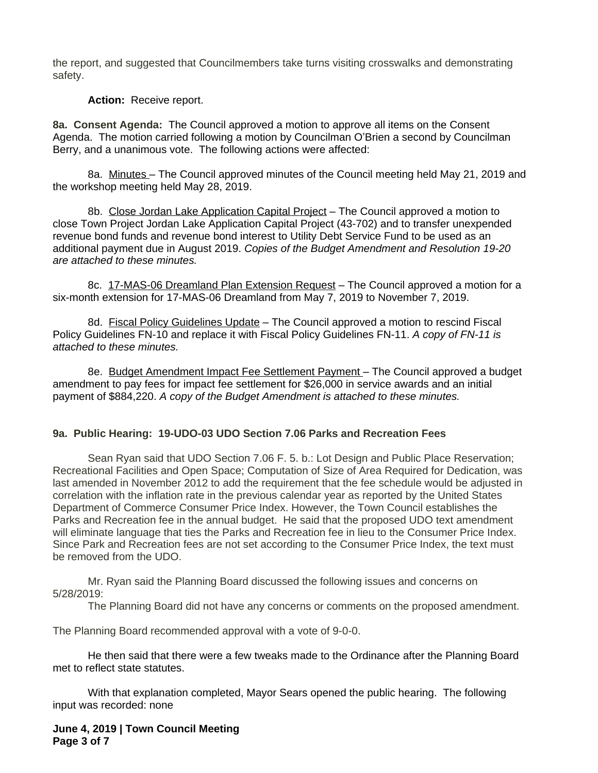the report, and suggested that Councilmembers take turns visiting crosswalks and demonstrating safety.

**Action:** Receive report.

**8a. Consent Agenda:** The Council approved a motion to approve all items on the Consent Agenda. The motion carried following a motion by Councilman O'Brien a second by Councilman Berry, and a unanimous vote. The following actions were affected:

8a. Minutes – The Council approved minutes of the Council meeting held May 21, 2019 and the workshop meeting held May 28, 2019.

8b. Close Jordan Lake Application Capital Project - The Council approved a motion to close Town Project Jordan Lake Application Capital Project (43-702) and to transfer unexpended revenue bond funds and revenue bond interest to Utility Debt Service Fund to be used as an additional payment due in August 2019. *Copies of the Budget Amendment and Resolution 19-20 are attached to these minutes.*

8c. 17-MAS-06 Dreamland Plan Extension Request – The Council approved a motion for a six-month extension for 17-MAS-06 Dreamland from May 7, 2019 to November 7, 2019.

8d. Fiscal Policy Guidelines Update - The Council approved a motion to rescind Fiscal Policy Guidelines FN-10 and replace it with Fiscal Policy Guidelines FN-11. *A copy of FN-11 is attached to these minutes.*

8e. Budget Amendment Impact Fee Settlement Payment - The Council approved a budget amendment to pay fees for impact fee settlement for \$26,000 in service awards and an initial payment of \$884,220. *A copy of the Budget Amendment is attached to these minutes.*

# **9a. Public Hearing: 19-UDO-03 UDO Section 7.06 Parks and Recreation Fees**

Sean Ryan said that UDO Section 7.06 F. 5. b.: Lot Design and Public Place Reservation; Recreational Facilities and Open Space; Computation of Size of Area Required for Dedication, was last amended in November 2012 to add the requirement that the fee schedule would be adjusted in correlation with the inflation rate in the previous calendar year as reported by the United States Department of Commerce Consumer Price Index. However, the Town Council establishes the Parks and Recreation fee in the annual budget. He said that the proposed UDO text amendment will eliminate language that ties the Parks and Recreation fee in lieu to the Consumer Price Index. Since Park and Recreation fees are not set according to the Consumer Price Index, the text must be removed from the UDO.

Mr. Ryan said the Planning Board discussed the following issues and concerns on 5/28/2019:

The Planning Board did not have any concerns or comments on the proposed amendment.

The Planning Board recommended approval with a vote of 9-0-0.

He then said that there were a few tweaks made to the Ordinance after the Planning Board met to reflect state statutes.

With that explanation completed, Mayor Sears opened the public hearing. The following input was recorded: none

**June 4, 2019 | Town Council Meeting Page 3 of 7**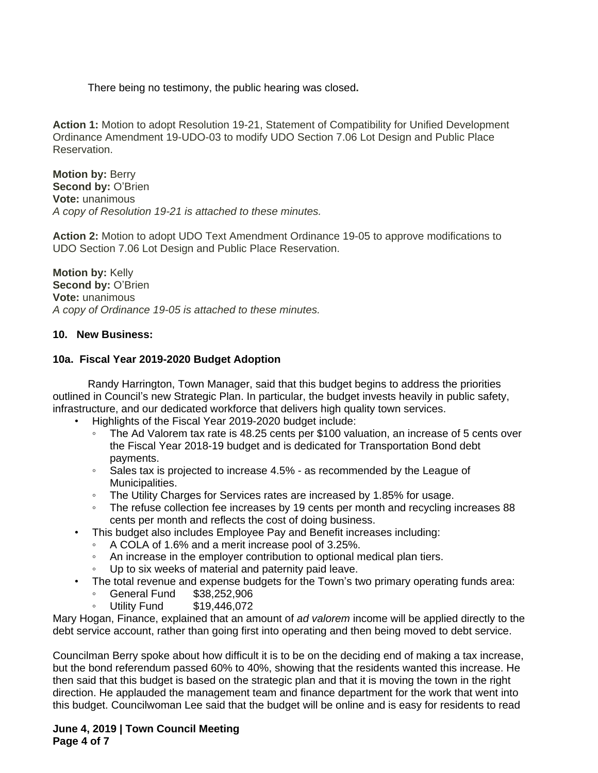There being no testimony, the public hearing was closed**.**

**Action 1:** Motion to adopt Resolution 19-21, Statement of Compatibility for Unified Development Ordinance Amendment 19-UDO-03 to modify UDO Section 7.06 Lot Design and Public Place Reservation.

**Motion by: Berry Second by: O'Brien Vote:** unanimous *A copy of Resolution 19-21 is attached to these minutes.*

**Action 2:** Motion to adopt UDO Text Amendment Ordinance 19-05 to approve modifications to UDO Section 7.06 Lot Design and Public Place Reservation.

**Motion by:** Kelly **Second by: O'Brien Vote:** unanimous *A copy of Ordinance 19-05 is attached to these minutes.*

#### **10. New Business:**

### **10a. Fiscal Year 2019-2020 Budget Adoption**

Randy Harrington, Town Manager, said that this budget begins to address the priorities outlined in Council's new Strategic Plan. In particular, the budget invests heavily in public safety, infrastructure, and our dedicated workforce that delivers high quality town services.

- Highlights of the Fiscal Year 2019-2020 budget include:
	- The Ad Valorem tax rate is 48.25 cents per \$100 valuation, an increase of 5 cents over the Fiscal Year 2018-19 budget and is dedicated for Transportation Bond debt payments.
	- Sales tax is projected to increase 4.5% as recommended by the League of Municipalities.
	- The Utility Charges for Services rates are increased by 1.85% for usage.
	- The refuse collection fee increases by 19 cents per month and recycling increases 88 cents per month and reflects the cost of doing business.
- This budget also includes Employee Pay and Benefit increases including:
	- A COLA of 1.6% and a merit increase pool of 3.25%.
	- An increase in the employer contribution to optional medical plan tiers.
	- Up to six weeks of material and paternity paid leave.
- The total revenue and expense budgets for the Town's two primary operating funds area:
	- General Fund \$38,252,906
	- Utility Fund \$19,446,072

Mary Hogan, Finance, explained that an amount of *ad valorem* income will be applied directly to the debt service account, rather than going first into operating and then being moved to debt service.

Councilman Berry spoke about how difficult it is to be on the deciding end of making a tax increase, but the bond referendum passed 60% to 40%, showing that the residents wanted this increase. He then said that this budget is based on the strategic plan and that it is moving the town in the right direction. He applauded the management team and finance department for the work that went into this budget. Councilwoman Lee said that the budget will be online and is easy for residents to read

### **June 4, 2019 | Town Council Meeting Page 4 of 7**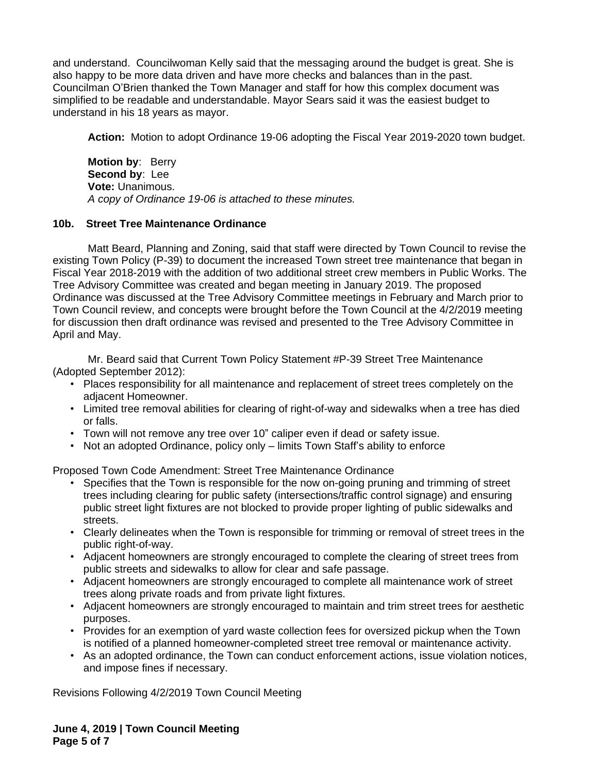and understand. Councilwoman Kelly said that the messaging around the budget is great. She is also happy to be more data driven and have more checks and balances than in the past. Councilman O'Brien thanked the Town Manager and staff for how this complex document was simplified to be readable and understandable. Mayor Sears said it was the easiest budget to understand in his 18 years as mayor.

**Action:** Motion to adopt Ordinance 19-06 adopting the Fiscal Year 2019-2020 town budget.

**Motion by**: Berry **Second by**: Lee **Vote:** Unanimous. *A copy of Ordinance 19-06 is attached to these minutes.*

# **10b. Street Tree Maintenance Ordinance**

Matt Beard, Planning and Zoning, said that staff were directed by Town Council to revise the existing Town Policy (P-39) to document the increased Town street tree maintenance that began in Fiscal Year 2018-2019 with the addition of two additional street crew members in Public Works. The Tree Advisory Committee was created and began meeting in January 2019. The proposed Ordinance was discussed at the Tree Advisory Committee meetings in February and March prior to Town Council review, and concepts were brought before the Town Council at the 4/2/2019 meeting for discussion then draft ordinance was revised and presented to the Tree Advisory Committee in April and May.

Mr. Beard said that Current Town Policy Statement #P-39 Street Tree Maintenance (Adopted September 2012):

- Places responsibility for all maintenance and replacement of street trees completely on the adjacent Homeowner.
- Limited tree removal abilities for clearing of right-of-way and sidewalks when a tree has died or falls.
- Town will not remove any tree over 10" caliper even if dead or safety issue.
- Not an adopted Ordinance, policy only limits Town Staff's ability to enforce

Proposed Town Code Amendment: Street Tree Maintenance Ordinance

- Specifies that the Town is responsible for the now on-going pruning and trimming of street trees including clearing for public safety (intersections/traffic control signage) and ensuring public street light fixtures are not blocked to provide proper lighting of public sidewalks and streets.
- Clearly delineates when the Town is responsible for trimming or removal of street trees in the public right-of-way.
- Adjacent homeowners are strongly encouraged to complete the clearing of street trees from public streets and sidewalks to allow for clear and safe passage.
- Adjacent homeowners are strongly encouraged to complete all maintenance work of street trees along private roads and from private light fixtures.
- Adjacent homeowners are strongly encouraged to maintain and trim street trees for aesthetic purposes.
- Provides for an exemption of yard waste collection fees for oversized pickup when the Town is notified of a planned homeowner-completed street tree removal or maintenance activity.
- As an adopted ordinance, the Town can conduct enforcement actions, issue violation notices, and impose fines if necessary.

Revisions Following 4/2/2019 Town Council Meeting

**June 4, 2019 | Town Council Meeting Page 5 of 7**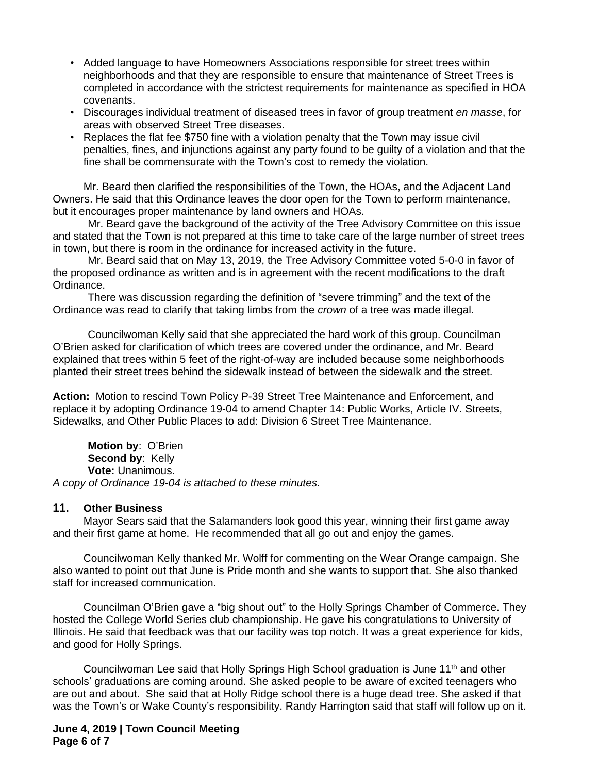- Added language to have Homeowners Associations responsible for street trees within neighborhoods and that they are responsible to ensure that maintenance of Street Trees is completed in accordance with the strictest requirements for maintenance as specified in HOA covenants.
- Discourages individual treatment of diseased trees in favor of group treatment *en masse*, for areas with observed Street Tree diseases.
- Replaces the flat fee \$750 fine with a violation penalty that the Town may issue civil penalties, fines, and injunctions against any party found to be guilty of a violation and that the fine shall be commensurate with the Town's cost to remedy the violation.

Mr. Beard then clarified the responsibilities of the Town, the HOAs, and the Adjacent Land Owners. He said that this Ordinance leaves the door open for the Town to perform maintenance, but it encourages proper maintenance by land owners and HOAs.

Mr. Beard gave the background of the activity of the Tree Advisory Committee on this issue and stated that the Town is not prepared at this time to take care of the large number of street trees in town, but there is room in the ordinance for increased activity in the future.

Mr. Beard said that on May 13, 2019, the Tree Advisory Committee voted 5-0-0 in favor of the proposed ordinance as written and is in agreement with the recent modifications to the draft Ordinance.

There was discussion regarding the definition of "severe trimming" and the text of the Ordinance was read to clarify that taking limbs from the *crown* of a tree was made illegal.

Councilwoman Kelly said that she appreciated the hard work of this group. Councilman O'Brien asked for clarification of which trees are covered under the ordinance, and Mr. Beard explained that trees within 5 feet of the right-of-way are included because some neighborhoods planted their street trees behind the sidewalk instead of between the sidewalk and the street.

**Action:** Motion to rescind Town Policy P-39 Street Tree Maintenance and Enforcement, and replace it by adopting Ordinance 19-04 to amend Chapter 14: Public Works, Article IV. Streets, Sidewalks, and Other Public Places to add: Division 6 Street Tree Maintenance.

**Motion by**: O'Brien **Second by: Kelly Vote:** Unanimous. *A copy of Ordinance 19-04 is attached to these minutes.*

#### **11. Other Business**

Mayor Sears said that the Salamanders look good this year, winning their first game away and their first game at home. He recommended that all go out and enjoy the games.

Councilwoman Kelly thanked Mr. Wolff for commenting on the Wear Orange campaign. She also wanted to point out that June is Pride month and she wants to support that. She also thanked staff for increased communication.

Councilman O'Brien gave a "big shout out" to the Holly Springs Chamber of Commerce. They hosted the College World Series club championship. He gave his congratulations to University of Illinois. He said that feedback was that our facility was top notch. It was a great experience for kids, and good for Holly Springs.

Councilwoman Lee said that Holly Springs High School graduation is June  $11<sup>th</sup>$  and other schools' graduations are coming around. She asked people to be aware of excited teenagers who are out and about. She said that at Holly Ridge school there is a huge dead tree. She asked if that was the Town's or Wake County's responsibility. Randy Harrington said that staff will follow up on it.

**June 4, 2019 | Town Council Meeting Page 6 of 7**